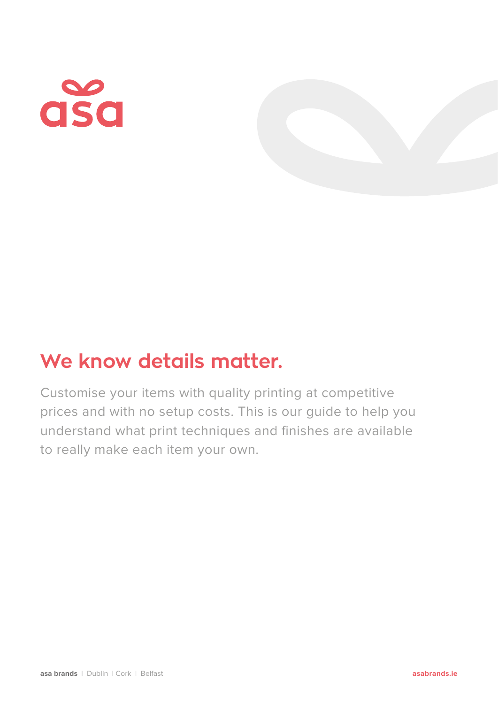# asa

# **We know details matter.**

Customise your items with quality printing at competitive prices and with no setup costs. This is our guide to help you understand what print techniques and finishes are available to really make each item your own.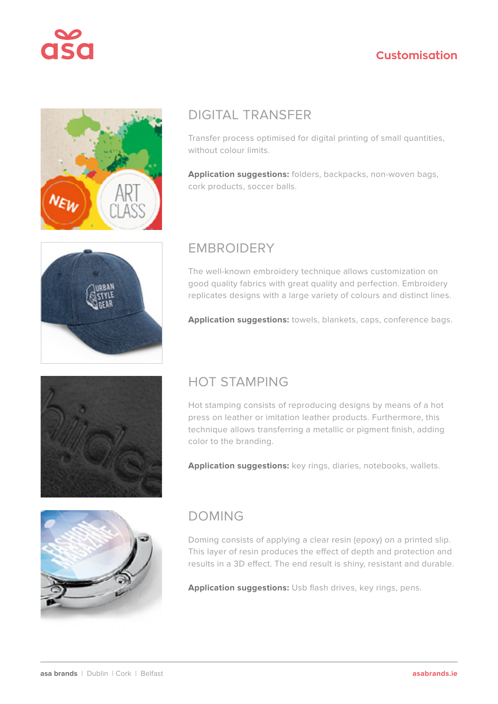



#### DIGITAL TRANSFER

Transfer process optimised for digital printing of small quantities, without colour limits.

**Application suggestions:** folders, backpacks, non-woven bags, cork products, soccer balls.



#### EMBROIDERY

The well-known embroidery technique allows customization on good quality fabrics with great quality and perfection. Embroidery replicates designs with a large variety of colours and distinct lines.

**Application suggestions:** towels, blankets, caps, conference bags.



#### HOT STAMPING

Hot stamping consists of reproducing designs by means of a hot press on leather or imitation leather products. Furthermore, this technique allows transferring a metallic or pigment finish, adding color to the branding.

**Application suggestions:** key rings, diaries, notebooks, wallets.



#### DOMING

Doming consists of applying a clear resin (epoxy) on a printed slip. This layer of resin produces the effect of depth and protection and results in a 3D effect. The end result is shiny, resistant and durable.

**Application suggestions:** Usb flash drives, key rings, pens.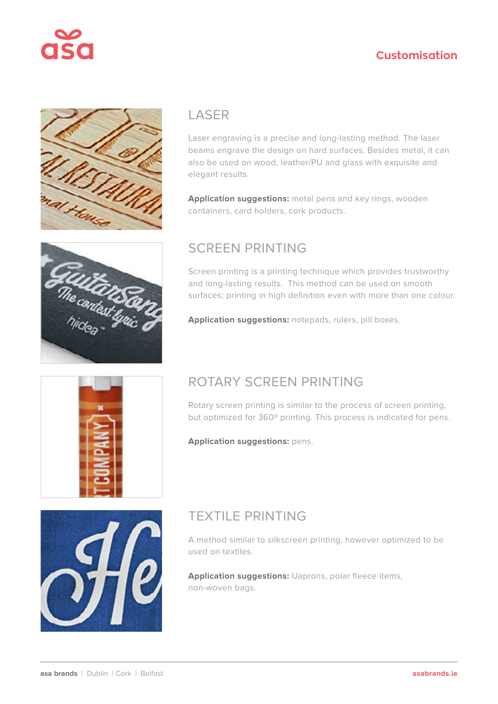



#### LASER

Laser engraving is a precise and long-lasting method. The laser beams engrave the design on hard surfaces. Besides metal, it can also be used on wood, leather/PU and glass with exquisite and elegant results.

**Application suggestions:** metal pens and key rings, wooden containers, card holders, cork products.

#### SCREEN PRINTING

Screen printing is a printing technique which provides trustworthy and long-lasting results. This method can be used on smooth surfaces; printing in high definition even with more than one colour.

**Application suggestions:** notepads, rulers, pill boxes.



### ROTARY SCREEN PRINTING

Rotary screen printing is similar to the process of screen printing, but optimized for 360º printing. This process is indicated for pens.

**Application suggestions:** pens.



# TEXTILE PRINTING

A method similar to silkscreen printing, however optimized to be used on textiles.

**Application suggestions:** Uaprons, polar fleece items, non-woven bags.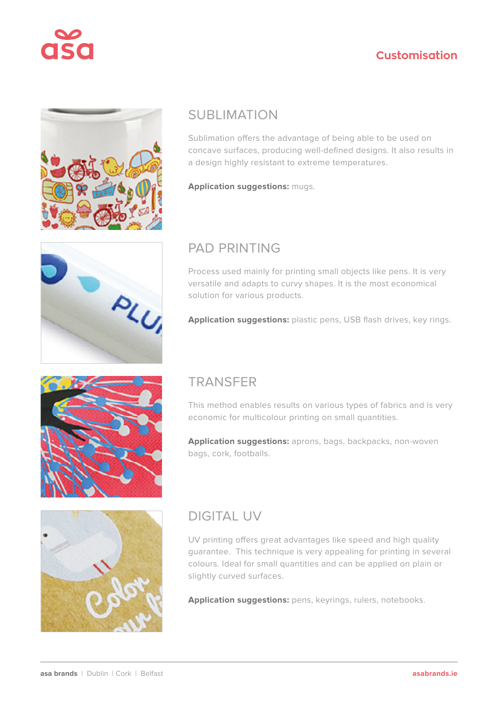



#### SUBLIMATION

Sublimation offers the advantage of being able to be used on concave surfaces, producing well-defined designs. It also results in a design highly resistant to extreme temperatures.

**Application suggestions:** mugs.



#### PAD PRINTING

Process used mainly for printing small objects like pens. It is very versatile and adapts to curvy shapes. It is the most economical solution for various products.

**Application suggestions:** plastic pens, USB flash drives, key rings.



#### TRANSFER

This method enables results on various types of fabrics and is very economic for multicolour printing on small quantities.

**Application suggestions:** aprons, bags, backpacks, non-woven bags, cork, footballs.



# DIGITAL UV

UV printing offers great advantages like speed and high quality guarantee. This technique is very appealing for printing in several colours. Ideal for small quantities and can be applied on plain or slightly curved surfaces.

**Application suggestions:** pens, keyrings, rulers, notebooks.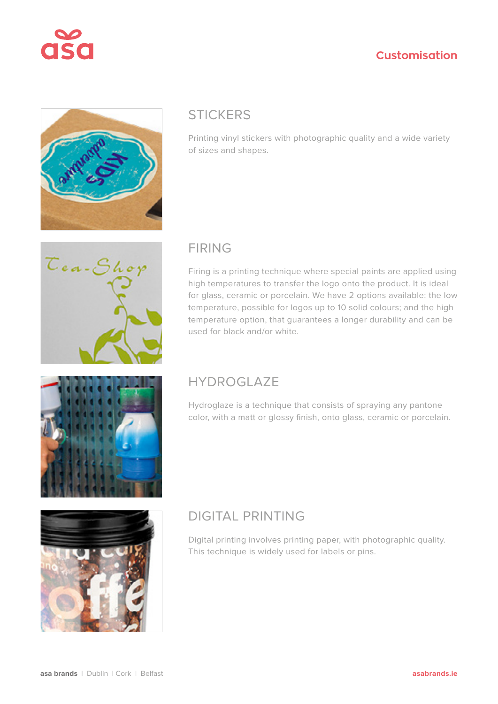



#### **STICKERS**

Printing vinyl stickers with photographic quality and a wide variety of sizes and shapes.



#### FIRING

Firing is a printing technique where special paints are applied using high temperatures to transfer the logo onto the product. It is ideal for glass, ceramic or porcelain. We have 2 options available: the low temperature, possible for logos up to 10 solid colours; and the high temperature option, that guarantees a longer durability and can be used for black and/or white.



### **HYDROGLAZE**

Hydroglaze is a technique that consists of spraying any pantone color, with a matt or glossy finish, onto glass, ceramic or porcelain.



# DIGITAL PRINTING

Digital printing involves printing paper, with photographic quality. This technique is widely used for labels or pins.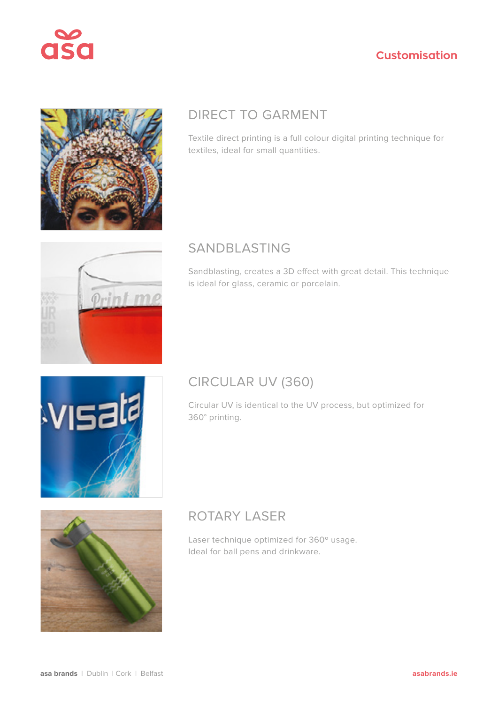



# DIRECT TO GARMENT

Textile direct printing is a full colour digital printing technique for textiles, ideal for small quantities.



### SANDBLASTING

Sandblasting, creates a 3D effect with great detail. This technique is ideal for glass, ceramic or porcelain.



### CIRCULAR UV (360)

Circular UV is identical to the UV process, but optimized for 360° printing.



# ROTARY LASER

Laser technique optimized for 360º usage. Ideal for ball pens and drinkware.